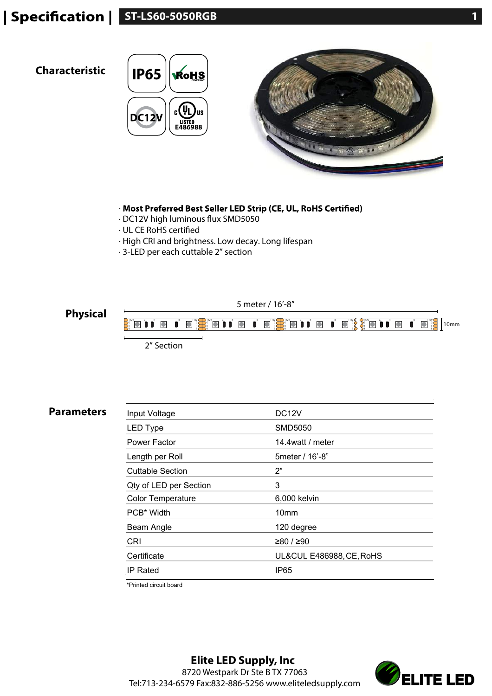## **Specification | ST-LS60-5050RGB 10.1 and 10.1 and 10.1 and 10.1 and 10.1 and 10.1 and 10.1 and 10.1 and 10.1 and 10.1 and 10.1 and 10.1 and 10.1 and 10.1 and 10.1 and 10.1 and 10.1 and 10.1 and 10.1 and 10.1 and 10.1 an**

## **Characteristic IP65**





- · Most Preferred Best Seller LED Strip (CE, UL, RoHS Certified)
- · DC12V high luminous flux SMD5050
- · UL CE RoHS certified
- · High CRI and brightness. Low decay. Long lifespan
- · 3-LED per each cuttable 2" section



5 meter / 16'-8"



**Parameters** 

| Input Voltage            | DC <sub>12</sub> V       |
|--------------------------|--------------------------|
| <b>LED Type</b>          | SMD5050                  |
| Power Factor             | 14.4watt / meter         |
| Length per Roll          | 5 meter / 16'-8"         |
| <b>Cuttable Section</b>  | 2"                       |
| Qty of LED per Section   | 3                        |
| <b>Color Temperature</b> | 6,000 kelvin             |
| PCB <sup>*</sup> Width   | 10mm                     |
| Beam Angle               | 120 degree               |
| <b>CRI</b>               | ≥80 / ≥90                |
| Certificate              | UL&CUL E486988, CE, RoHS |
| IP Rated                 | IP <sub>65</sub>         |

\*Printed circuit board

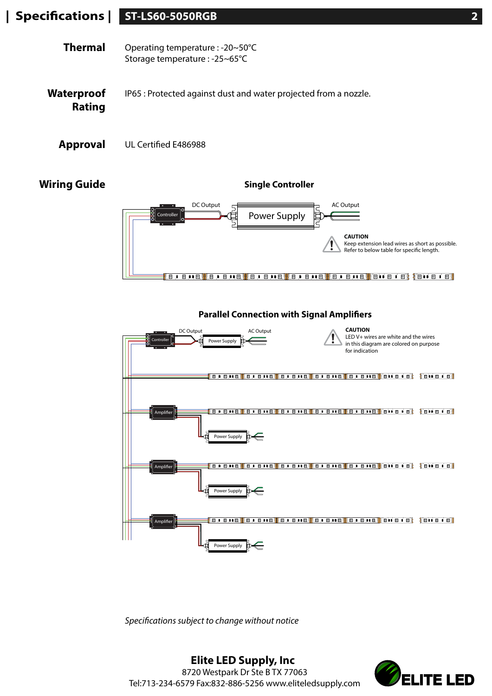## **ST-LS60-5050RGB 2 | Specications |**

| Thermal | Operating temperature : -20~50°C         |
|---------|------------------------------------------|
|         | Storage temperature : $-25-65^{\circ}$ C |

- **Waterproof Rating** IP65 : Protected against dust and water projected from a nozzle.
	- Approval UL Certified E486988

**Wiring Guide**

**Single Controller**





**Parallel Connection with Signal Amplifiers** 

*Specifications subject to change without notice*